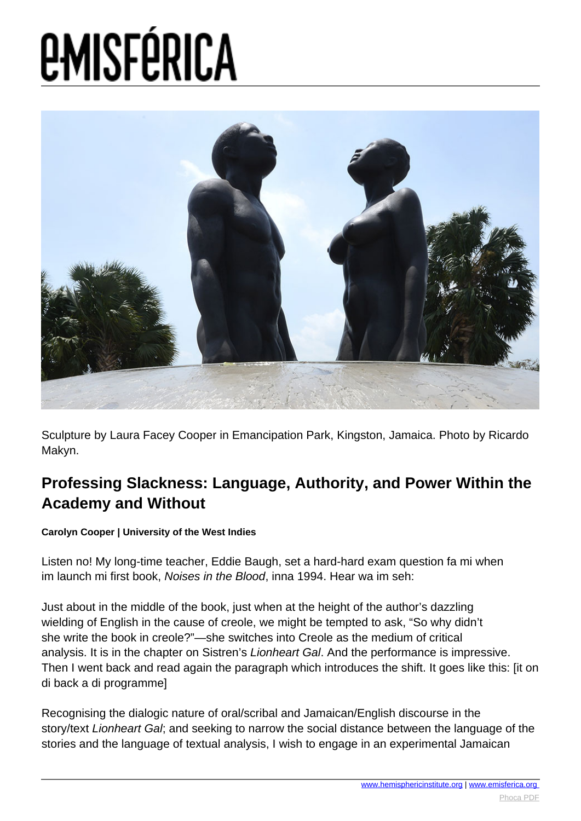

Sculpture by Laura Facey Cooper in Emancipation Park, Kingston, Jamaica. Photo by Ricardo Makyn.

#### **Professing Slackness: Language, Authority, and Power Within the Academy and Without**

#### **Carolyn Cooper | University of the West Indies**

Listen no! My long-time teacher, Eddie Baugh, set a hard-hard exam question fa mi when im launch mi first book, Noises in the Blood, inna 1994. Hear wa im seh:

Just about in the middle of the book, just when at the height of the author's dazzling wielding of English in the cause of creole, we might be tempted to ask, "So why didn't she write the book in creole?"—she switches into Creole as the medium of critical analysis. It is in the chapter on Sistren's Lionheart Gal. And the performance is impressive. Then I went back and read again the paragraph which introduces the shift. It goes like this: [it on di back a di programme]

Recognising the dialogic nature of oral/scribal and Jamaican/English discourse in the story/text Lionheart Gal; and seeking to narrow the social distance between the language of the stories and the language of textual analysis, I wish to engage in an experimental Jamaican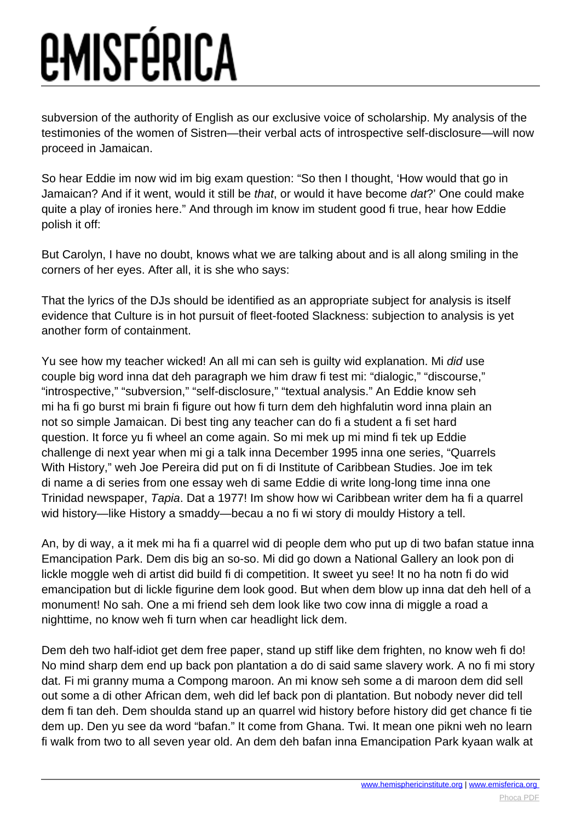subversion of the authority of English as our exclusive voice of scholarship. My analysis of the testimonies of the women of Sistren—their verbal acts of introspective self-disclosure—will now proceed in Jamaican.

So hear Eddie im now wid im big exam question: "So then I thought, 'How would that go in Jamaican? And if it went, would it still be that, or would it have become dat?' One could make quite a play of ironies here." And through im know im student good fi true, hear how Eddie polish it off:

But Carolyn, I have no doubt, knows what we are talking about and is all along smiling in the corners of her eyes. After all, it is she who says:

That the lyrics of the DJs should be identified as an appropriate subject for analysis is itself evidence that Culture is in hot pursuit of fleet-footed Slackness: subjection to analysis is yet another form of containment.

Yu see how my teacher wicked! An all mi can seh is guilty wid explanation. Mi did use couple big word inna dat deh paragraph we him draw fi test mi: "dialogic," "discourse," "introspective," "subversion," "self-disclosure," "textual analysis." An Eddie know seh mi ha fi go burst mi brain fi figure out how fi turn dem deh highfalutin word inna plain an not so simple Jamaican. Di best ting any teacher can do fi a student a fi set hard question. It force yu fi wheel an come again. So mi mek up mi mind fi tek up Eddie challenge di next year when mi gi a talk inna December 1995 inna one series, "Quarrels With History," weh Joe Pereira did put on fi di Institute of Caribbean Studies. Joe im tek di name a di series from one essay weh di same Eddie di write long-long time inna one Trinidad newspaper, Tapia. Dat a 1977! Im show how wi Caribbean writer dem ha fi a quarrel wid history—like History a smaddy—becau a no fi wi story di mouldy History a tell.

An, by di way, a it mek mi ha fi a quarrel wid di people dem who put up di two bafan statue inna Emancipation Park. Dem dis big an so-so. Mi did go down a National Gallery an look pon di lickle moggle weh di artist did build fi di competition. It sweet yu see! It no ha notn fi do wid emancipation but di lickle figurine dem look good. But when dem blow up inna dat deh hell of a monument! No sah. One a mi friend seh dem look like two cow inna di miggle a road a nighttime, no know weh fi turn when car headlight lick dem.

Dem deh two half-idiot get dem free paper, stand up stiff like dem frighten, no know weh fi do! No mind sharp dem end up back pon plantation a do di said same slavery work. A no fi mi story dat. Fi mi granny muma a Compong maroon. An mi know seh some a di maroon dem did sell out some a di other African dem, weh did lef back pon di plantation. But nobody never did tell dem fi tan deh. Dem shoulda stand up an quarrel wid history before history did get chance fi tie dem up. Den yu see da word "bafan." It come from Ghana. Twi. It mean one pikni weh no learn fi walk from two to all seven year old. An dem deh bafan inna Emancipation Park kyaan walk at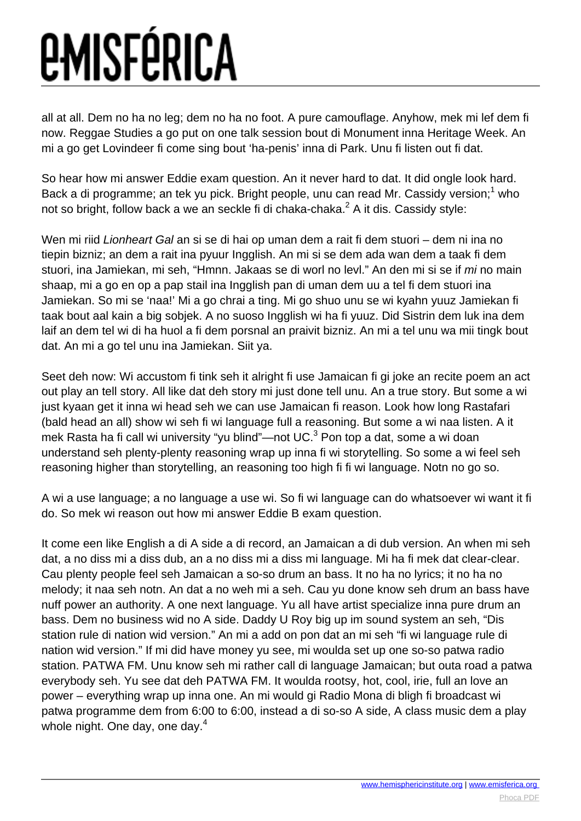all at all. Dem no ha no leg; dem no ha no foot. A pure camouflage. Anyhow, mek mi lef dem fi now. Reggae Studies a go put on one talk session bout di Monument inna Heritage Week. An mi a go get Lovindeer fi come sing bout 'ha-penis' inna di Park. Unu fi listen out fi dat.

So hear how mi answer Eddie exam question. An it never hard to dat. It did ongle look hard. Back a di programme; an tek yu pick. Bright people, unu can read Mr. Cassidy version;<sup>1</sup> who not so bright, follow back a we an seckle fi di chaka-chaka. $^2$  A it dis. Cassidy style:

Wen mi riid Lionheart Gal an si se di hai op uman dem a rait fi dem stuori – dem ni ina no tiepin bizniz; an dem a rait ina pyuur Ingglish. An mi si se dem ada wan dem a taak fi dem stuori, ina Jamiekan, mi seh, "Hmnn. Jakaas se di worl no levl." An den mi si se if mi no main shaap, mi a go en op a pap stail ina Ingglish pan di uman dem uu a tel fi dem stuori ina Jamiekan. So mi se 'naa!' Mi a go chrai a ting. Mi go shuo unu se wi kyahn yuuz Jamiekan fi taak bout aal kain a big sobjek. A no suoso Ingglish wi ha fi yuuz. Did Sistrin dem luk ina dem laif an dem tel wi di ha huol a fi dem porsnal an praivit bizniz. An mi a tel unu wa mii tingk bout dat. An mi a go tel unu ina Jamiekan. Siit ya.

Seet deh now: Wi accustom fi tink seh it alright fi use Jamaican fi gi joke an recite poem an act out play an tell story. All like dat deh story mi just done tell unu. An a true story. But some a wi just kyaan get it inna wi head seh we can use Jamaican fi reason. Look how long Rastafari (bald head an all) show wi seh fi wi language full a reasoning. But some a wi naa listen. A it mek Rasta ha fi call wi university "yu blind"—not UC.<sup>3</sup> Pon top a dat, some a wi doan understand seh plenty-plenty reasoning wrap up inna fi wi storytelling. So some a wi feel seh reasoning higher than storytelling, an reasoning too high fi fi wi language. Notn no go so.

A wi a use language; a no language a use wi. So fi wi language can do whatsoever wi want it fi do. So mek wi reason out how mi answer Eddie B exam question.

It come een like English a di A side a di record, an Jamaican a di dub version. An when mi seh dat, a no diss mi a diss dub, an a no diss mi a diss mi language. Mi ha fi mek dat clear-clear. Cau plenty people feel seh Jamaican a so-so drum an bass. It no ha no lyrics; it no ha no melody; it naa seh notn. An dat a no weh mi a seh. Cau yu done know seh drum an bass have nuff power an authority. A one next language. Yu all have artist specialize inna pure drum an bass. Dem no business wid no A side. Daddy U Roy big up im sound system an seh, "Dis station rule di nation wid version." An mi a add on pon dat an mi seh "fi wi language rule di nation wid version." If mi did have money yu see, mi woulda set up one so-so patwa radio station. PATWA FM. Unu know seh mi rather call di language Jamaican; but outa road a patwa everybody seh. Yu see dat deh PATWA FM. It woulda rootsy, hot, cool, irie, full an love an power – everything wrap up inna one. An mi would gi Radio Mona di bligh fi broadcast wi patwa programme dem from 6:00 to 6:00, instead a di so-so A side, A class music dem a play whole night. One day, one day.<sup>4</sup>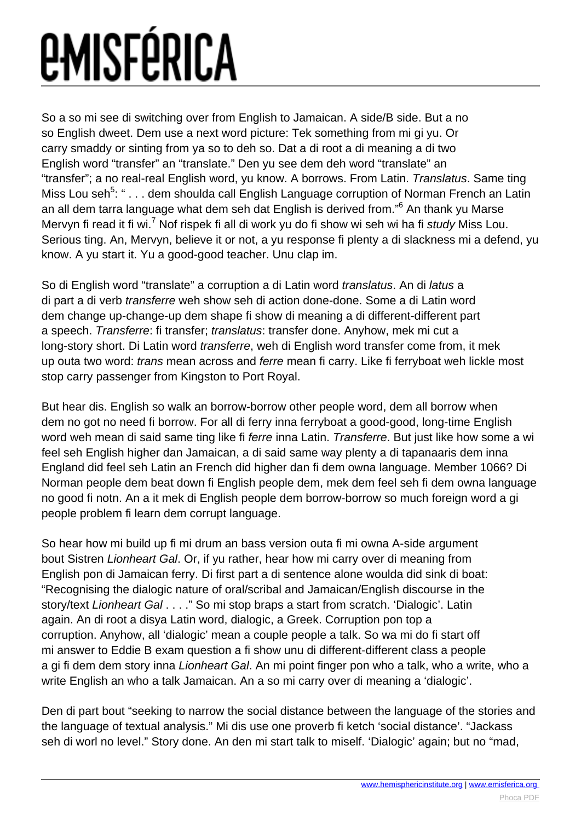So a so mi see di switching over from English to Jamaican. A side/B side. But a no so English dweet. Dem use a next word picture: Tek something from mi gi yu. Or carry smaddy or sinting from ya so to deh so. Dat a di root a di meaning a di two English word "transfer" an "translate." Den yu see dem deh word "translate" an "transfer"; a no real-real English word, yu know. A borrows. From Latin. Translatus. Same ting Miss Lou seh<sup>5</sup>: " . . . dem shoulda call English Language corruption of Norman French an Latin an all dem tarra language what dem seh dat English is derived from."<sup>6</sup> An thank yu Marse Mervyn fi read it fi wi.<sup>7</sup> Nof rispek fi all di work yu do fi show wi seh wi ha fi study Miss Lou. Serious ting. An, Mervyn, believe it or not, a yu response fi plenty a di slackness mi a defend, yu know. A yu start it. Yu a good-good teacher. Unu clap im.

So di English word "translate" a corruption a di Latin word translatus. An di latus a di part a di verb transferre weh show seh di action done-done. Some a di Latin word dem change up-change-up dem shape fi show di meaning a di different-different part a speech. Transferre: fi transfer; translatus: transfer done. Anyhow, mek mi cut a long-story short. Di Latin word transferre, weh di English word transfer come from, it mek up outa two word: *trans* mean across and *ferre* mean fi carry. Like fi ferryboat weh lickle most stop carry passenger from Kingston to Port Royal.

But hear dis. English so walk an borrow-borrow other people word, dem all borrow when dem no got no need fi borrow. For all di ferry inna ferryboat a good-good, long-time English word weh mean di said same ting like fi ferre inna Latin. Transferre. But just like how some a wi feel seh English higher dan Jamaican, a di said same way plenty a di tapanaaris dem inna England did feel seh Latin an French did higher dan fi dem owna language. Member 1066? Di Norman people dem beat down fi English people dem, mek dem feel seh fi dem owna language no good fi notn. An a it mek di English people dem borrow-borrow so much foreign word a gi people problem fi learn dem corrupt language.

So hear how mi build up fi mi drum an bass version outa fi mi owna A-side argument bout Sistren Lionheart Gal. Or, if yu rather, hear how mi carry over di meaning from English pon di Jamaican ferry. Di first part a di sentence alone woulda did sink di boat: "Recognising the dialogic nature of oral/scribal and Jamaican/English discourse in the story/text Lionheart Gal . . . ." So mi stop braps a start from scratch. 'Dialogic'. Latin again. An di root a disya Latin word, dialogic, a Greek. Corruption pon top a corruption. Anyhow, all 'dialogic' mean a couple people a talk. So wa mi do fi start off mi answer to Eddie B exam question a fi show unu di different-different class a people a gi fi dem dem story inna Lionheart Gal. An mi point finger pon who a talk, who a write, who a write English an who a talk Jamaican. An a so mi carry over di meaning a 'dialogic'.

Den di part bout "seeking to narrow the social distance between the language of the stories and the language of textual analysis." Mi dis use one proverb fi ketch 'social distance'. "Jackass seh di worl no level." Story done. An den mi start talk to miself. 'Dialogic' again; but no "mad,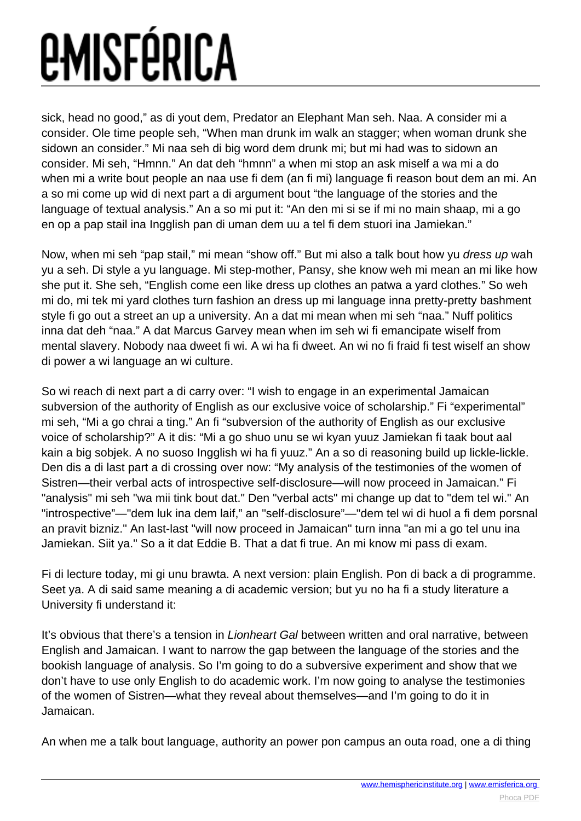sick, head no good," as di yout dem, Predator an Elephant Man seh. Naa. A consider mi a consider. Ole time people seh, "When man drunk im walk an stagger; when woman drunk she sidown an consider." Mi naa seh di big word dem drunk mi; but mi had was to sidown an consider. Mi seh, "Hmnn." An dat deh "hmnn" a when mi stop an ask miself a wa mi a do when mi a write bout people an naa use fi dem (an fi mi) language fi reason bout dem an mi. An a so mi come up wid di next part a di argument bout "the language of the stories and the language of textual analysis." An a so mi put it: "An den mi si se if mi no main shaap, mi a go en op a pap stail ina Ingglish pan di uman dem uu a tel fi dem stuori ina Jamiekan."

Now, when mi seh "pap stail," mi mean "show off." But mi also a talk bout how yu dress up wah yu a seh. Di style a yu language. Mi step-mother, Pansy, she know weh mi mean an mi like how she put it. She seh, "English come een like dress up clothes an patwa a yard clothes." So weh mi do, mi tek mi yard clothes turn fashion an dress up mi language inna pretty-pretty bashment style fi go out a street an up a university. An a dat mi mean when mi seh "naa." Nuff politics inna dat deh "naa." A dat Marcus Garvey mean when im seh wi fi emancipate wiself from mental slavery. Nobody naa dweet fi wi. A wi ha fi dweet. An wi no fi fraid fi test wiself an show di power a wi language an wi culture.

So wi reach di next part a di carry over: "I wish to engage in an experimental Jamaican subversion of the authority of English as our exclusive voice of scholarship." Fi "experimental" mi seh, "Mi a go chrai a ting." An fi "subversion of the authority of English as our exclusive voice of scholarship?" A it dis: "Mi a go shuo unu se wi kyan yuuz Jamiekan fi taak bout aal kain a big sobjek. A no suoso Ingglish wi ha fi yuuz." An a so di reasoning build up lickle-lickle. Den dis a di last part a di crossing over now: "My analysis of the testimonies of the women of Sistren—their verbal acts of introspective self-disclosure—will now proceed in Jamaican." Fi "analysis" mi seh "wa mii tink bout dat." Den "verbal acts" mi change up dat to "dem tel wi." An "introspective"—"dem luk ina dem laif," an "self-disclosure"—"dem tel wi di huol a fi dem porsnal an pravit bizniz." An last-last "will now proceed in Jamaican" turn inna "an mi a go tel unu ina Jamiekan. Siit ya." So a it dat Eddie B. That a dat fi true. An mi know mi pass di exam.

Fi di lecture today, mi gi unu brawta. A next version: plain English. Pon di back a di programme. Seet ya. A di said same meaning a di academic version; but yu no ha fi a study literature a University fi understand it:

It's obvious that there's a tension in *Lionheart Gal* between written and oral narrative, between English and Jamaican. I want to narrow the gap between the language of the stories and the bookish language of analysis. So I'm going to do a subversive experiment and show that we don't have to use only English to do academic work. I'm now going to analyse the testimonies of the women of Sistren—what they reveal about themselves—and I'm going to do it in Jamaican.

An when me a talk bout language, authority an power pon campus an outa road, one a di thing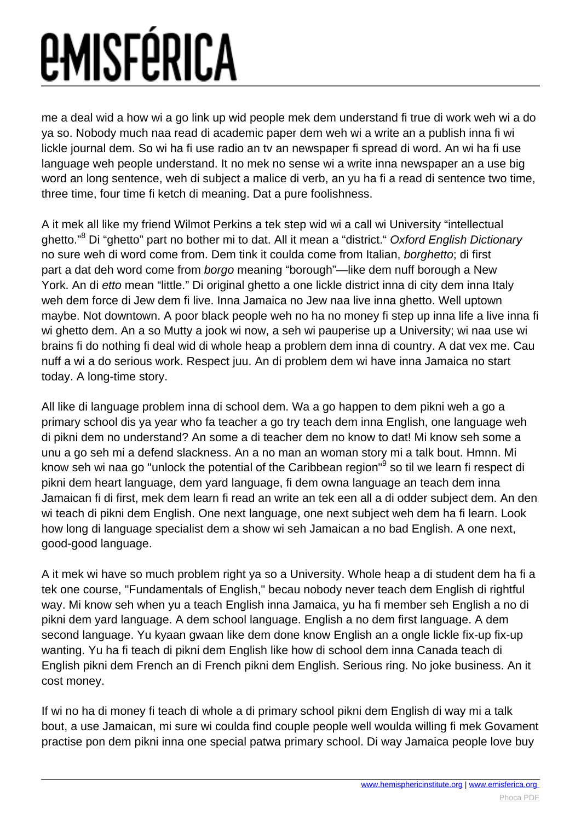me a deal wid a how wi a go link up wid people mek dem understand fi true di work weh wi a do ya so. Nobody much naa read di academic paper dem weh wi a write an a publish inna fi wi lickle journal dem. So wi ha fi use radio an tv an newspaper fi spread di word. An wi ha fi use language weh people understand. It no mek no sense wi a write inna newspaper an a use big word an long sentence, weh di subject a malice di verb, an yu ha fi a read di sentence two time, three time, four time fi ketch di meaning. Dat a pure foolishness.

A it mek all like my friend Wilmot Perkins a tek step wid wi a call wi University "intellectual ghetto."<sup>8</sup> Di "ghetto" part no bother mi to dat. All it mean a "district." *Oxford English Dictionary* no sure weh di word come from. Dem tink it coulda come from Italian, borghetto; di first part a dat deh word come from borgo meaning "borough"—like dem nuff borough a New York. An di etto mean "little." Di original ghetto a one lickle district inna di city dem inna Italy weh dem force di Jew dem fi live. Inna Jamaica no Jew naa live inna ghetto. Well uptown maybe. Not downtown. A poor black people weh no ha no money fi step up inna life a live inna fi wi ghetto dem. An a so Mutty a jook wi now, a seh wi pauperise up a University; wi naa use wi brains fi do nothing fi deal wid di whole heap a problem dem inna di country. A dat vex me. Cau nuff a wi a do serious work. Respect juu. An di problem dem wi have inna Jamaica no start today. A long-time story.

All like di language problem inna di school dem. Wa a go happen to dem pikni weh a go a primary school dis ya year who fa teacher a go try teach dem inna English, one language weh di pikni dem no understand? An some a di teacher dem no know to dat! Mi know seh some a unu a go seh mi a defend slackness. An a no man an woman story mi a talk bout. Hmnn. Mi know seh wi naa go "unlock the potential of the Caribbean region"<sup>9</sup> so til we learn fi respect di pikni dem heart language, dem yard language, fi dem owna language an teach dem inna Jamaican fi di first, mek dem learn fi read an write an tek een all a di odder subject dem. An den wi teach di pikni dem English. One next language, one next subject weh dem ha fi learn. Look how long di language specialist dem a show wi seh Jamaican a no bad English. A one next, good-good language.

A it mek wi have so much problem right ya so a University. Whole heap a di student dem ha fi a tek one course, "Fundamentals of English," becau nobody never teach dem English di rightful way. Mi know seh when yu a teach English inna Jamaica, yu ha fi member seh English a no di pikni dem yard language. A dem school language. English a no dem first language. A dem second language. Yu kyaan gwaan like dem done know English an a ongle lickle fix-up fix-up wanting. Yu ha fi teach di pikni dem English like how di school dem inna Canada teach di English pikni dem French an di French pikni dem English. Serious ring. No joke business. An it cost money.

If wi no ha di money fi teach di whole a di primary school pikni dem English di way mi a talk bout, a use Jamaican, mi sure wi coulda find couple people well woulda willing fi mek Govament practise pon dem pikni inna one special patwa primary school. Di way Jamaica people love buy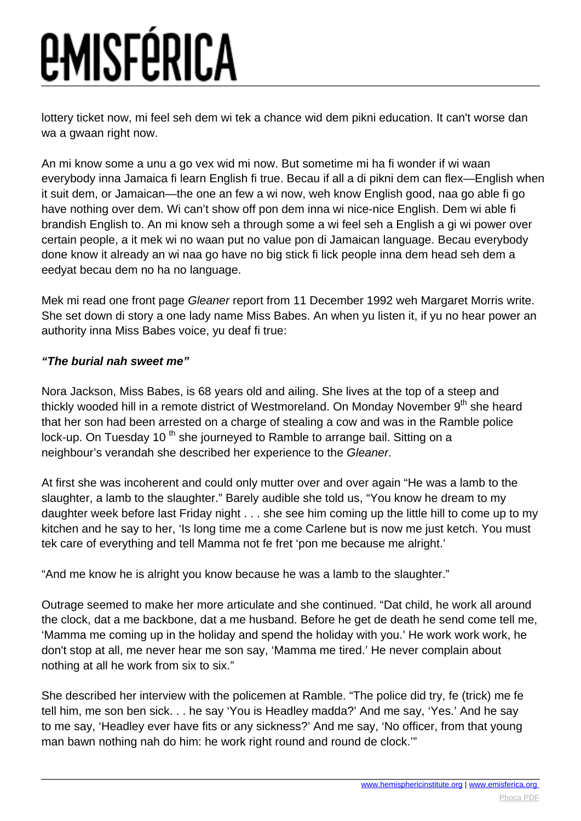lottery ticket now, mi feel seh dem wi tek a chance wid dem pikni education. It can't worse dan wa a gwaan right now.

An mi know some a unu a go vex wid mi now. But sometime mi ha fi wonder if wi waan everybody inna Jamaica fi learn English fi true. Becau if all a di pikni dem can flex—English when it suit dem, or Jamaican—the one an few a wi now, weh know English good, naa go able fi go have nothing over dem. Wi can't show off pon dem inna wi nice-nice English. Dem wi able fi brandish English to. An mi know seh a through some a wi feel seh a English a gi wi power over certain people, a it mek wi no waan put no value pon di Jamaican language. Becau everybody done know it already an wi naa go have no big stick fi lick people inna dem head seh dem a eedyat becau dem no ha no language.

Mek mi read one front page Gleaner report from 11 December 1992 weh Margaret Morris write. She set down di story a one lady name Miss Babes. An when yu listen it, if yu no hear power an authority inna Miss Babes voice, yu deaf fi true:

#### **"The burial nah sweet me"**

Nora Jackson, Miss Babes, is 68 years old and ailing. She lives at the top of a steep and thickly wooded hill in a remote district of Westmoreland. On Monday November  $9<sup>th</sup>$  she heard that her son had been arrested on a charge of stealing a cow and was in the Ramble police lock-up. On Tuesday 10<sup>th</sup> she journeyed to Ramble to arrange bail. Sitting on a neighbour's verandah she described her experience to the Gleaner.

At first she was incoherent and could only mutter over and over again "He was a lamb to the slaughter, a lamb to the slaughter." Barely audible she told us, "You know he dream to my daughter week before last Friday night . . . she see him coming up the little hill to come up to my kitchen and he say to her, 'Is long time me a come Carlene but is now me just ketch. You must tek care of everything and tell Mamma not fe fret 'pon me because me alright.'

"And me know he is alright you know because he was a lamb to the slaughter."

Outrage seemed to make her more articulate and she continued. "Dat child, he work all around the clock, dat a me backbone, dat a me husband. Before he get de death he send come tell me, 'Mamma me coming up in the holiday and spend the holiday with you.' He work work work, he don't stop at all, me never hear me son say, 'Mamma me tired.' He never complain about nothing at all he work from six to six."

She described her interview with the policemen at Ramble. "The police did try, fe (trick) me fe tell him, me son ben sick. . . he say 'You is Headley madda?' And me say, 'Yes.' And he say to me say, 'Headley ever have fits or any sickness?' And me say, 'No officer, from that young man bawn nothing nah do him: he work right round and round de clock.'"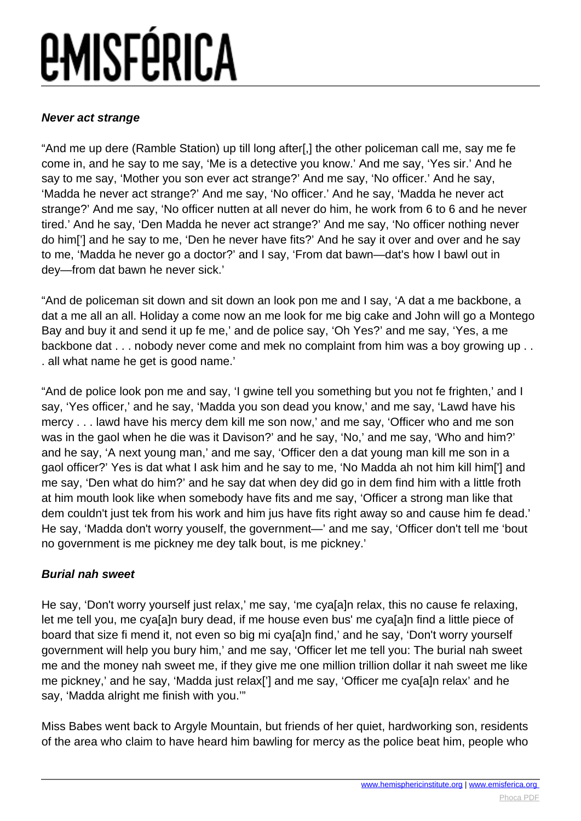#### **Never act strange**

"And me up dere (Ramble Station) up till long after[,] the other policeman call me, say me fe come in, and he say to me say, 'Me is a detective you know.' And me say, 'Yes sir.' And he say to me say, 'Mother you son ever act strange?' And me say, 'No officer.' And he say, 'Madda he never act strange?' And me say, 'No officer.' And he say, 'Madda he never act strange?' And me say, 'No officer nutten at all never do him, he work from 6 to 6 and he never tired.' And he say, 'Den Madda he never act strange?' And me say, 'No officer nothing never do him['] and he say to me, 'Den he never have fits?' And he say it over and over and he say to me, 'Madda he never go a doctor?' and I say, 'From dat bawn—dat's how I bawl out in dey—from dat bawn he never sick.'

"And de policeman sit down and sit down an look pon me and I say, 'A dat a me backbone, a dat a me all an all. Holiday a come now an me look for me big cake and John will go a Montego Bay and buy it and send it up fe me,' and de police say, 'Oh Yes?' and me say, 'Yes, a me backbone dat . . . nobody never come and mek no complaint from him was a boy growing up . . . all what name he get is good name.'

"And de police look pon me and say, 'I gwine tell you something but you not fe frighten,' and I say, 'Yes officer,' and he say, 'Madda you son dead you know,' and me say, 'Lawd have his mercy . . . lawd have his mercy dem kill me son now,' and me say, 'Officer who and me son was in the gaol when he die was it Davison?' and he say, 'No,' and me say, 'Who and him?' and he say, 'A next young man,' and me say, 'Officer den a dat young man kill me son in a gaol officer?' Yes is dat what I ask him and he say to me, 'No Madda ah not him kill him['] and me say, 'Den what do him?' and he say dat when dey did go in dem find him with a little froth at him mouth look like when somebody have fits and me say, 'Officer a strong man like that dem couldn't just tek from his work and him jus have fits right away so and cause him fe dead.' He say, 'Madda don't worry youself, the government—' and me say, 'Officer don't tell me 'bout no government is me pickney me dey talk bout, is me pickney.'

#### **Burial nah sweet**

He say, 'Don't worry yourself just relax,' me say, 'me cya[a]n relax, this no cause fe relaxing, let me tell you, me cya[a]n bury dead, if me house even bus' me cya[a]n find a little piece of board that size fi mend it, not even so big mi cya[a]n find,' and he say, 'Don't worry yourself government will help you bury him,' and me say, 'Officer let me tell you: The burial nah sweet me and the money nah sweet me, if they give me one million trillion dollar it nah sweet me like me pickney,' and he say, 'Madda just relax['] and me say, 'Officer me cya[a]n relax' and he say, 'Madda alright me finish with you.'"

Miss Babes went back to Argyle Mountain, but friends of her quiet, hardworking son, residents of the area who claim to have heard him bawling for mercy as the police beat him, people who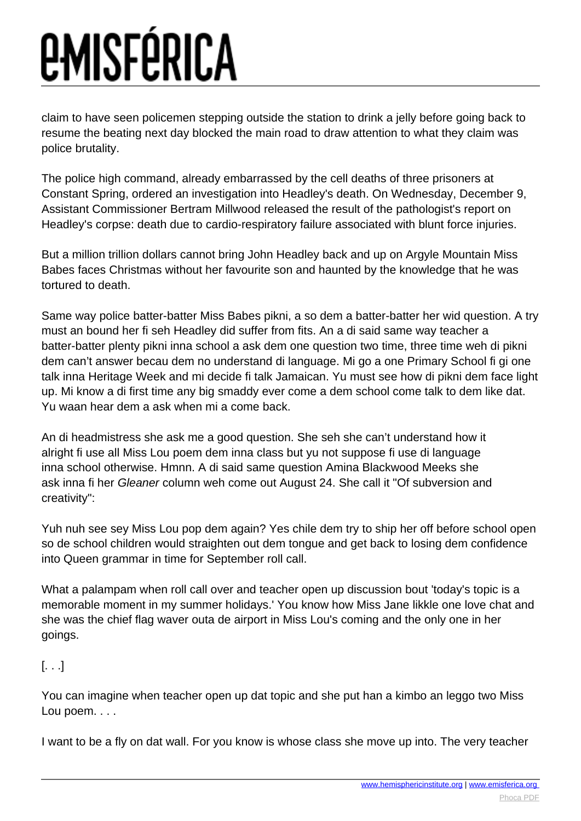claim to have seen policemen stepping outside the station to drink a jelly before going back to resume the beating next day blocked the main road to draw attention to what they claim was police brutality.

The police high command, already embarrassed by the cell deaths of three prisoners at Constant Spring, ordered an investigation into Headley's death. On Wednesday, December 9, Assistant Commissioner Bertram Millwood released the result of the pathologist's report on Headley's corpse: death due to cardio-respiratory failure associated with blunt force injuries.

But a million trillion dollars cannot bring John Headley back and up on Argyle Mountain Miss Babes faces Christmas without her favourite son and haunted by the knowledge that he was tortured to death.

Same way police batter-batter Miss Babes pikni, a so dem a batter-batter her wid question. A try must an bound her fi seh Headley did suffer from fits. An a di said same way teacher a batter-batter plenty pikni inna school a ask dem one question two time, three time weh di pikni dem can't answer becau dem no understand di language. Mi go a one Primary School fi gi one talk inna Heritage Week and mi decide fi talk Jamaican. Yu must see how di pikni dem face light up. Mi know a di first time any big smaddy ever come a dem school come talk to dem like dat. Yu waan hear dem a ask when mi a come back.

An di headmistress she ask me a good question. She seh she can't understand how it alright fi use all Miss Lou poem dem inna class but yu not suppose fi use di language inna school otherwise. Hmnn. A di said same question Amina Blackwood Meeks she ask inna fi her Gleaner column weh come out August 24. She call it "Of subversion and creativity":

Yuh nuh see sey Miss Lou pop dem again? Yes chile dem try to ship her off before school open so de school children would straighten out dem tongue and get back to losing dem confidence into Queen grammar in time for September roll call.

What a palampam when roll call over and teacher open up discussion bout 'today's topic is a memorable moment in my summer holidays.' You know how Miss Jane likkle one love chat and she was the chief flag waver outa de airport in Miss Lou's coming and the only one in her goings.

#### [. . .]

You can imagine when teacher open up dat topic and she put han a kimbo an leggo two Miss Lou poem. . . .

I want to be a fly on dat wall. For you know is whose class she move up into. The very teacher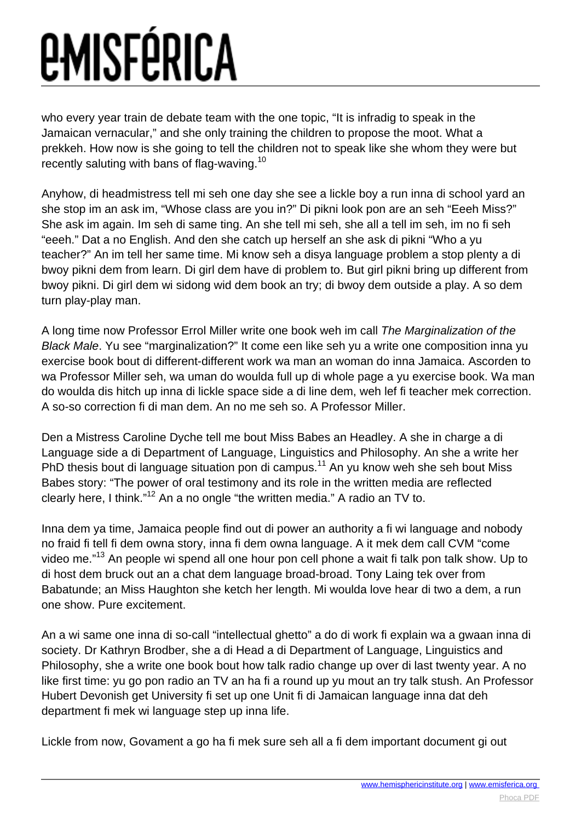who every year train de debate team with the one topic, "It is infradig to speak in the Jamaican vernacular," and she only training the children to propose the moot. What a prekkeh. How now is she going to tell the children not to speak like she whom they were but recently saluting with bans of flag-waving.<sup>10</sup>

Anyhow, di headmistress tell mi seh one day she see a lickle boy a run inna di school yard an she stop im an ask im, "Whose class are you in?" Di pikni look pon are an seh "Eeeh Miss?" She ask im again. Im seh di same ting. An she tell mi seh, she all a tell im seh, im no fi seh "eeeh." Dat a no English. And den she catch up herself an she ask di pikni "Who a yu teacher?" An im tell her same time. Mi know seh a disya language problem a stop plenty a di bwoy pikni dem from learn. Di girl dem have di problem to. But girl pikni bring up different from bwoy pikni. Di girl dem wi sidong wid dem book an try; di bwoy dem outside a play. A so dem turn play-play man.

A long time now Professor Errol Miller write one book weh im call The Marginalization of the Black Male. Yu see "marginalization?" It come een like seh yu a write one composition inna yu exercise book bout di different-different work wa man an woman do inna Jamaica. Ascorden to wa Professor Miller seh, wa uman do woulda full up di whole page a yu exercise book. Wa man do woulda dis hitch up inna di lickle space side a di line dem, weh lef fi teacher mek correction. A so-so correction fi di man dem. An no me seh so. A Professor Miller.

Den a Mistress Caroline Dyche tell me bout Miss Babes an Headley. A she in charge a di Language side a di Department of Language, Linguistics and Philosophy. An she a write her PhD thesis bout di language situation pon di campus.<sup>11</sup> An yu know weh she seh bout Miss Babes story: "The power of oral testimony and its role in the written media are reflected clearly here, I think."<sup>12</sup> An a no ongle "the written media." A radio an TV to.

Inna dem ya time, Jamaica people find out di power an authority a fi wi language and nobody no fraid fi tell fi dem owna story, inna fi dem owna language. A it mek dem call CVM "come video me."<sup>13</sup> An people wi spend all one hour pon cell phone a wait fi talk pon talk show. Up to di host dem bruck out an a chat dem language broad-broad. Tony Laing tek over from Babatunde; an Miss Haughton she ketch her length. Mi woulda love hear di two a dem, a run one show. Pure excitement.

An a wi same one inna di so-call "intellectual ghetto" a do di work fi explain wa a gwaan inna di society. Dr Kathryn Brodber, she a di Head a di Department of Language, Linguistics and Philosophy, she a write one book bout how talk radio change up over di last twenty year. A no like first time: yu go pon radio an TV an ha fi a round up yu mout an try talk stush. An Professor Hubert Devonish get University fi set up one Unit fi di Jamaican language inna dat deh department fi mek wi language step up inna life.

Lickle from now, Govament a go ha fi mek sure seh all a fi dem important document gi out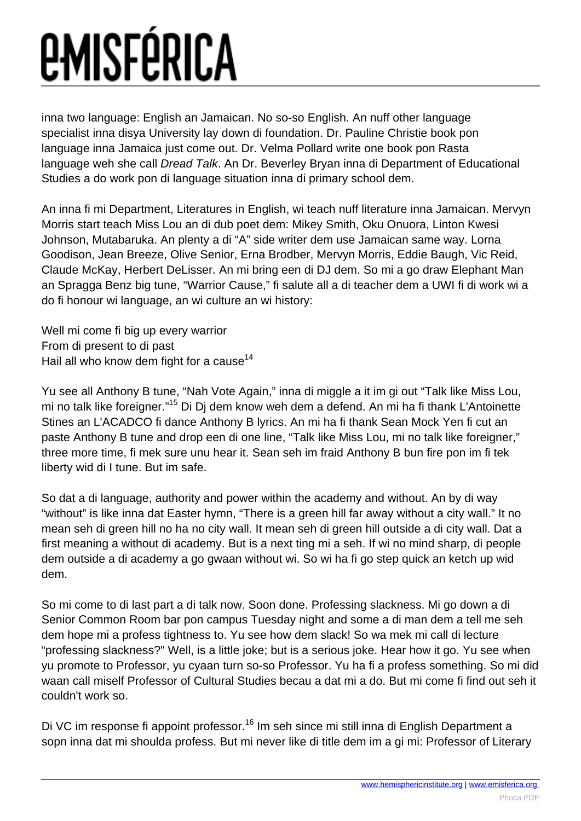inna two language: English an Jamaican. No so-so English. An nuff other language specialist inna disya University lay down di foundation. Dr. Pauline Christie book pon language inna Jamaica just come out. Dr. Velma Pollard write one book pon Rasta language weh she call Dread Talk. An Dr. Beverley Bryan inna di Department of Educational Studies a do work pon di language situation inna di primary school dem.

An inna fi mi Department, Literatures in English, wi teach nuff literature inna Jamaican. Mervyn Morris start teach Miss Lou an di dub poet dem: Mikey Smith, Oku Onuora, Linton Kwesi Johnson, Mutabaruka. An plenty a di "A" side writer dem use Jamaican same way. Lorna Goodison, Jean Breeze, Olive Senior, Erna Brodber, Mervyn Morris, Eddie Baugh, Vic Reid, Claude McKay, Herbert DeLisser. An mi bring een di DJ dem. So mi a go draw Elephant Man an Spragga Benz big tune, "Warrior Cause," fi salute all a di teacher dem a UWI fi di work wi a do fi honour wi language, an wi culture an wi history:

Well mi come fi big up every warrior From di present to di past Hail all who know dem fight for a cause $^{14}$ 

Yu see all Anthony B tune, "Nah Vote Again," inna di miggle a it im gi out "Talk like Miss Lou, mi no talk like foreigner."<sup>15</sup> Di Dj dem know weh dem a defend. An mi ha fi thank L'Antoinette Stines an L'ACADCO fi dance Anthony B lyrics. An mi ha fi thank Sean Mock Yen fi cut an paste Anthony B tune and drop een di one line, "Talk like Miss Lou, mi no talk like foreigner," three more time, fi mek sure unu hear it. Sean seh im fraid Anthony B bun fire pon im fi tek liberty wid di I tune. But im safe.

So dat a di language, authority and power within the academy and without. An by di way "without" is like inna dat Easter hymn, "There is a green hill far away without a city wall." It no mean seh di green hill no ha no city wall. It mean seh di green hill outside a di city wall. Dat a first meaning a without di academy. But is a next ting mi a seh. If wi no mind sharp, di people dem outside a di academy a go gwaan without wi. So wi ha fi go step quick an ketch up wid dem.

So mi come to di last part a di talk now. Soon done. Professing slackness. Mi go down a di Senior Common Room bar pon campus Tuesday night and some a di man dem a tell me seh dem hope mi a profess tightness to. Yu see how dem slack! So wa mek mi call di lecture "professing slackness?" Well, is a little joke; but is a serious joke. Hear how it go. Yu see when yu promote to Professor, yu cyaan turn so-so Professor. Yu ha fi a profess something. So mi did waan call miself Professor of Cultural Studies becau a dat mi a do. But mi come fi find out seh it couldn't work so.

Di VC im response fi appoint professor.<sup>16</sup> Im seh since mi still inna di English Department a sopn inna dat mi shoulda profess. But mi never like di title dem im a gi mi: Professor of Literary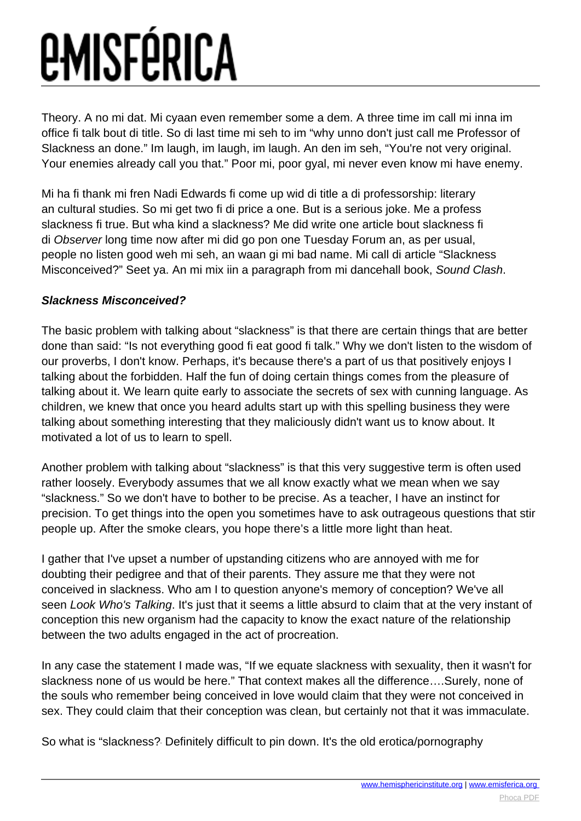Theory. A no mi dat. Mi cyaan even remember some a dem. A three time im call mi inna im office fi talk bout di title. So di last time mi seh to im "why unno don't just call me Professor of Slackness an done." Im laugh, im laugh, im laugh. An den im seh, "You're not very original. Your enemies already call you that." Poor mi, poor gyal, mi never even know mi have enemy.

Mi ha fi thank mi fren Nadi Edwards fi come up wid di title a di professorship: literary an cultural studies. So mi get two fi di price a one. But is a serious joke. Me a profess slackness fi true. But wha kind a slackness? Me did write one article bout slackness fi di Observer long time now after mi did go pon one Tuesday Forum an, as per usual, people no listen good weh mi seh, an waan gi mi bad name. Mi call di article "Slackness Misconceived?" Seet ya. An mi mix iin a paragraph from mi dancehall book, Sound Clash.

#### **Slackness Misconceived?**

The basic problem with talking about "slackness" is that there are certain things that are better done than said: "Is not everything good fi eat good fi talk." Why we don't listen to the wisdom of our proverbs, I don't know. Perhaps, it's because there's a part of us that positively enjoys I talking about the forbidden. Half the fun of doing certain things comes from the pleasure of talking about it. We learn quite early to associate the secrets of sex with cunning language. As children, we knew that once you heard adults start up with this spelling business they were talking about something interesting that they maliciously didn't want us to know about. It motivated a lot of us to learn to spell.

Another problem with talking about "slackness" is that this very suggestive term is often used rather loosely. Everybody assumes that we all know exactly what we mean when we say "slackness." So we don't have to bother to be precise. As a teacher, I have an instinct for precision. To get things into the open you sometimes have to ask outrageous questions that stir people up. After the smoke clears, you hope there's a little more light than heat.

I gather that I've upset a number of upstanding citizens who are annoyed with me for doubting their pedigree and that of their parents. They assure me that they were not conceived in slackness. Who am I to question anyone's memory of conception? We've all seen Look Who's Talking. It's just that it seems a little absurd to claim that at the very instant of conception this new organism had the capacity to know the exact nature of the relationship between the two adults engaged in the act of procreation.

In any case the statement I made was, "If we equate slackness with sexuality, then it wasn't for slackness none of us would be here." That context makes all the difference….Surely, none of the souls who remember being conceived in love would claim that they were not conceived in sex. They could claim that their conception was clean, but certainly not that it was immaculate.

So what is "slackness? Definitely difficult to pin down. It's the old erotica/pornography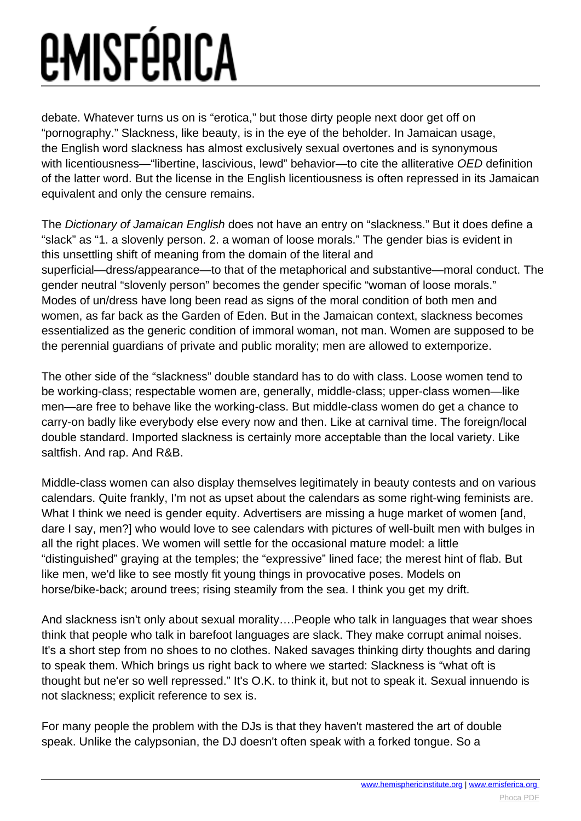debate. Whatever turns us on is "erotica," but those dirty people next door get off on "pornography." Slackness, like beauty, is in the eye of the beholder. In Jamaican usage, the English word slackness has almost exclusively sexual overtones and is synonymous with licentiousness—"libertine, lascivious, lewd" behavior—to cite the alliterative OED definition of the latter word. But the license in the English licentiousness is often repressed in its Jamaican equivalent and only the censure remains.

The Dictionary of Jamaican English does not have an entry on "slackness." But it does define a "slack" as "1. a slovenly person. 2. a woman of loose morals." The gender bias is evident in this unsettling shift of meaning from the domain of the literal and superficial—dress/appearance—to that of the metaphorical and substantive—moral conduct. The gender neutral "slovenly person" becomes the gender specific "woman of loose morals." Modes of un/dress have long been read as signs of the moral condition of both men and women, as far back as the Garden of Eden. But in the Jamaican context, slackness becomes essentialized as the generic condition of immoral woman, not man. Women are supposed to be the perennial guardians of private and public morality; men are allowed to extemporize.

The other side of the "slackness" double standard has to do with class. Loose women tend to be working-class; respectable women are, generally, middle-class; upper-class women—like men—are free to behave like the working-class. But middle-class women do get a chance to carry-on badly like everybody else every now and then. Like at carnival time. The foreign/local double standard. Imported slackness is certainly more acceptable than the local variety. Like saltfish. And rap. And R&B.

Middle-class women can also display themselves legitimately in beauty contests and on various calendars. Quite frankly, I'm not as upset about the calendars as some right-wing feminists are. What I think we need is gender equity. Advertisers are missing a huge market of women [and, dare I say, men?] who would love to see calendars with pictures of well-built men with bulges in all the right places. We women will settle for the occasional mature model: a little "distinguished" graying at the temples; the "expressive" lined face; the merest hint of flab. But like men, we'd like to see mostly fit young things in provocative poses. Models on horse/bike-back; around trees; rising steamily from the sea. I think you get my drift.

And slackness isn't only about sexual morality….People who talk in languages that wear shoes think that people who talk in barefoot languages are slack. They make corrupt animal noises. It's a short step from no shoes to no clothes. Naked savages thinking dirty thoughts and daring to speak them. Which brings us right back to where we started: Slackness is "what oft is thought but ne'er so well repressed." It's O.K. to think it, but not to speak it. Sexual innuendo is not slackness; explicit reference to sex is.

For many people the problem with the DJs is that they haven't mastered the art of double speak. Unlike the calypsonian, the DJ doesn't often speak with a forked tongue. So a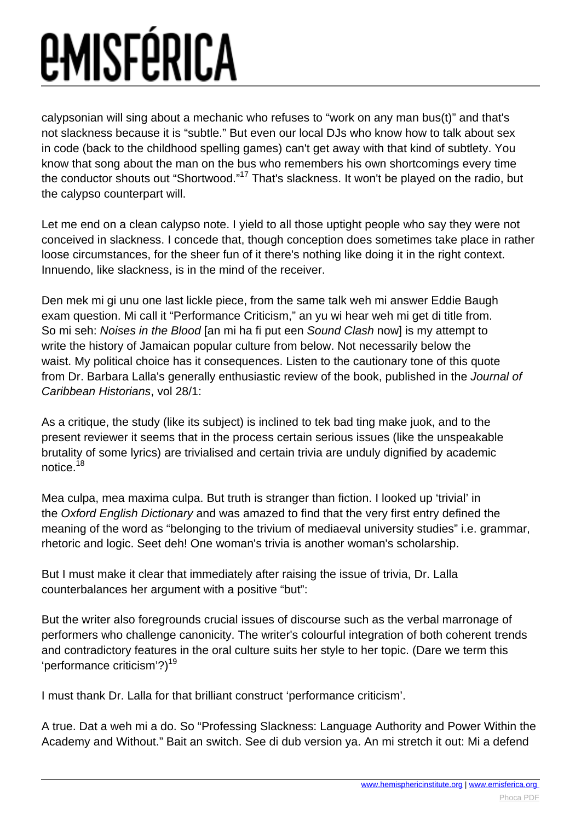calypsonian will sing about a mechanic who refuses to "work on any man bus(t)" and that's not slackness because it is "subtle." But even our local DJs who know how to talk about sex in code (back to the childhood spelling games) can't get away with that kind of subtlety. You know that song about the man on the bus who remembers his own shortcomings every time the conductor shouts out "Shortwood."<sup>17</sup> That's slackness. It won't be played on the radio, but the calypso counterpart will.

Let me end on a clean calypso note. I yield to all those uptight people who say they were not conceived in slackness. I concede that, though conception does sometimes take place in rather loose circumstances, for the sheer fun of it there's nothing like doing it in the right context. Innuendo, like slackness, is in the mind of the receiver.

Den mek mi gi unu one last lickle piece, from the same talk weh mi answer Eddie Baugh exam question. Mi call it "Performance Criticism," an yu wi hear weh mi get di title from. So mi seh: Noises in the Blood [an mi ha fi put een Sound Clash now] is my attempt to write the history of Jamaican popular culture from below. Not necessarily below the waist. My political choice has it consequences. Listen to the cautionary tone of this quote from Dr. Barbara Lalla's generally enthusiastic review of the book, published in the Journal of Caribbean Historians, vol 28/1:

As a critique, the study (like its subject) is inclined to tek bad ting make juok, and to the present reviewer it seems that in the process certain serious issues (like the unspeakable brutality of some lyrics) are trivialised and certain trivia are unduly dignified by academic notice.<sup>18</sup>

Mea culpa, mea maxima culpa. But truth is stranger than fiction. I looked up 'trivial' in the Oxford English Dictionary and was amazed to find that the very first entry defined the meaning of the word as "belonging to the trivium of mediaeval university studies" i.e. grammar, rhetoric and logic. Seet deh! One woman's trivia is another woman's scholarship.

But I must make it clear that immediately after raising the issue of trivia, Dr. Lalla counterbalances her argument with a positive "but":

But the writer also foregrounds crucial issues of discourse such as the verbal marronage of performers who challenge canonicity. The writer's colourful integration of both coherent trends and contradictory features in the oral culture suits her style to her topic. (Dare we term this 'performance criticism'?)<sup>19</sup>

I must thank Dr. Lalla for that brilliant construct 'performance criticism'.

A true. Dat a weh mi a do. So "Professing Slackness: Language Authority and Power Within the Academy and Without." Bait an switch. See di dub version ya. An mi stretch it out: Mi a defend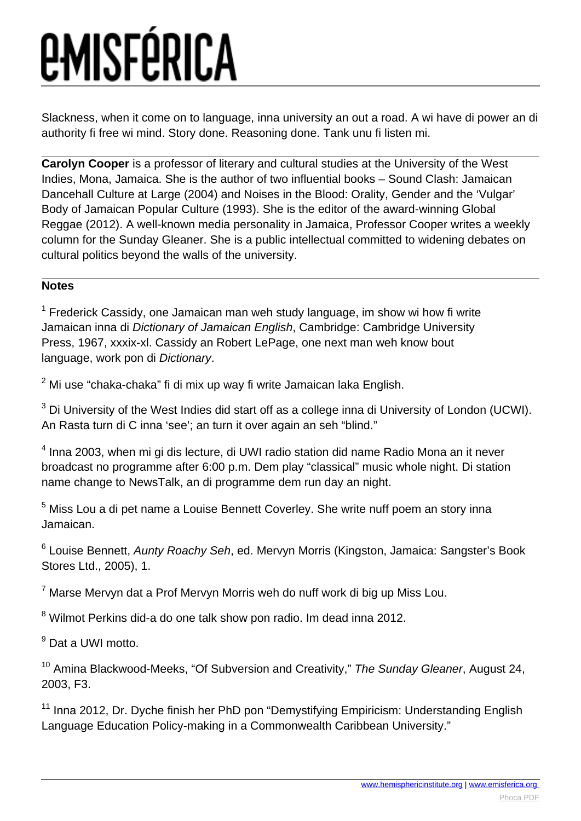Slackness, when it come on to language, inna university an out a road. A wi have di power an di authority fi free wi mind. Story done. Reasoning done. Tank unu fi listen mi.

**Carolyn Cooper** is a professor of literary and cultural studies at the University of the West Indies, Mona, Jamaica. She is the author of two influential books – Sound Clash: Jamaican Dancehall Culture at Large (2004) and Noises in the Blood: Orality, Gender and the 'Vulgar' Body of Jamaican Popular Culture (1993). She is the editor of the award-winning Global Reggae (2012). A well-known media personality in Jamaica, Professor Cooper writes a weekly column for the Sunday Gleaner. She is a public intellectual committed to widening debates on cultural politics beyond the walls of the university.

#### **Notes**

 $1$  Frederick Cassidy, one Jamaican man weh study language, im show wi how fi write Jamaican inna di Dictionary of Jamaican English, Cambridge: Cambridge University Press, 1967, xxxix-xl. Cassidy an Robert LePage, one next man weh know bout language, work pon di Dictionary.

 $^{2}$  Mi use "chaka-chaka" fi di mix up way fi write Jamaican laka English.

 $^3$  Di University of the West Indies did start off as a college inna di University of London (UCWI). An Rasta turn di C inna 'see'; an turn it over again an seh "blind."

<sup>4</sup> Inna 2003, when mi gi dis lecture, di UWI radio station did name Radio Mona an it never broadcast no programme after 6:00 p.m. Dem play "classical" music whole night. Di station name change to NewsTalk, an di programme dem run day an night.

<sup>5</sup> Miss Lou a di pet name a Louise Bennett Coverley. She write nuff poem an story inna Jamaican.

<sup>6</sup> Louise Bennett, *Aunty Roachy Seh*, ed. Mervyn Morris (Kingston, Jamaica: Sangster's Book Stores Ltd., 2005), 1.

 $^7$  Marse Mervyn dat a Prof Mervyn Morris weh do nuff work di big up Miss Lou.

<sup>8</sup> Wilmot Perkins did-a do one talk show pon radio. Im dead inna 2012.

<sup>9</sup> Dat a UWI motto.

<sup>10</sup> Amina Blackwood-Meeks, "Of Subversion and Creativity," The Sunday Gleaner, August 24, 2003, F3.

<sup>11</sup> Inna 2012, Dr. Dyche finish her PhD pon "Demystifying Empiricism: Understanding English Language Education Policy-making in a Commonwealth Caribbean University."